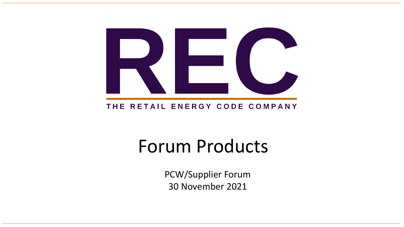

### THE RETAIL ENERGY CODE COMPANY

# Forum Products

PCW/Supplier Forum 30 November 2021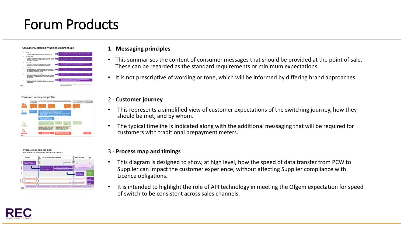### Forum Products







#### 1 - **Messaging principles**

- This summarises the content of consumer messages that should be provided at the point of sale. These can be regarded as the standard requirements or minimum expectations.
- It is not prescriptive of wording or tone, which will be informed by differing brand approaches.
- 2 **Customer journey**
- This represents a simplified view of customer expectations of the switching journey, how they should be met, and by whom.
- The typical timeline is indicated along with the additional messaging that will be required for customers with traditional prepayment meters.

#### 3 - **Process map and timings**

- This diagram is designed to show, at high level, how the speed of data transfer from PCW to Supplier can impact the customer experience, without affecting Supplier compliance with Licence obligations.
- It is intended to highlight the role of API technology in meeting the Ofgem expectation for speed of switch to be consistent across sales channels.

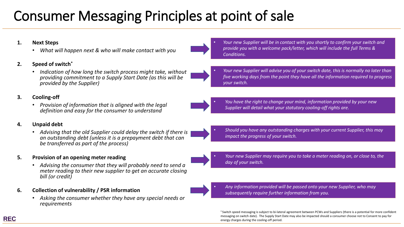## Consumer Messaging Principles at point of sale

#### **1. Next Steps**

• *What will happen next & who will make contact with you*

#### **2. Speed of switch\***

• *Indication of how long the switch process might take, without providing commitment to a Supply Start Date (as this will be provided by the Supplier)*

#### **3. Cooling-off**

• *Provision of information that is aligned with the legal definition and easy for the consumer to understand*

#### **4. Unpaid debt**

• *Advising that the old Supplier could delay the switch if there is an outstanding debt (unless it is a prepayment debt that can be transferred as part of the process)*

#### **5. Provision of an opening meter reading**

• *Advising the consumer that they will probably need to send a meter reading to their new supplier to get an accurate closing bill (or credit)*

#### **6. Collection of vulnerability / PSR information**

• *Asking the consumer whether they have any special needs or requirements*

• *Your new Supplier will be in contact with you shortly to confirm your switch and provide you with a welcome pack/letter, which will include the full Terms & Conditions.*

• *Your new Supplier will advise you of your switch date, this is normally no later than five working days from the point they have all the information required to progress your switch.* 

• *You have the right to change your mind, information provided by your new Supplier will detail what your statutory cooling-off rights are.*

• *Should you have any outstanding charges with your current Supplier, this may impact the progress of your switch.*

• *Your new Supplier may require you to take a meter reading on, or close to, the day of your switch.*

• *Any information provided will be passed onto your new Supplier, who may subsequently require further information from you.*

**\*** Switch speed messaging is subject to bi-lateral agreement between PCWs and Suppliers (there is a potential for more confident messaging on switch date). The Supply Start Date may also be impacted should a consumer choose not to Consent to pay for energy charges during the cooling-off period.









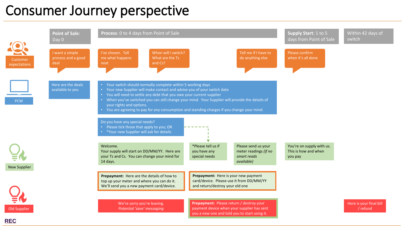### Consumer Journey perspective



**REC**